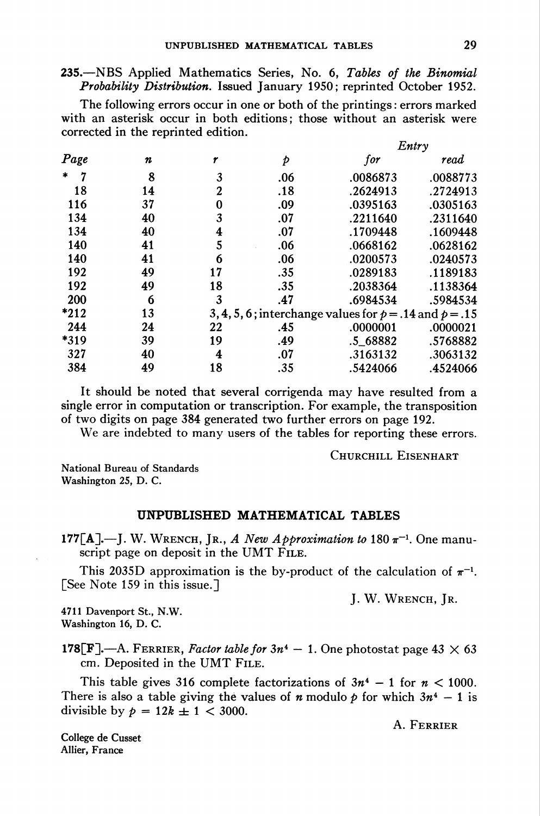235.—NBS Applied Mathematics Series, No. 6, Tables of the Binomial Probability Distribution. Issued January 1950; reprinted October 1952.

The following errors occur in one or both of the printings : errors marked with an asterisk occur in both editions; those without an asterisk were corrected in the reprinted edition.

| Page        | n  |                                                            | p   | Entry    |          |
|-------------|----|------------------------------------------------------------|-----|----------|----------|
|             |    |                                                            |     | for      | read     |
| $\ast$<br>7 | 8  | 3                                                          | .06 | .0086873 | .0088773 |
| 18          | 14 | $\boldsymbol{2}$                                           | .18 | .2624913 | .2724913 |
| 116         | 37 | 0                                                          | .09 | .0395163 | .0305163 |
| 134         | 40 | 3                                                          | .07 | .2211640 | .2311640 |
| 134         | 40 | 4                                                          | .07 | .1709448 | .1609448 |
| 140         | 41 | 5                                                          | .06 | .0668162 | .0628162 |
| 140         | 41 | 6                                                          | .06 | .0200573 | .0240573 |
| 192         | 49 | 17                                                         | .35 | .0289183 | .1189183 |
| 192         | 49 | 18                                                         | .35 | .2038364 | .1138364 |
| 200         | 6  | 3                                                          | .47 | .6984534 | .5984534 |
| $*212$      | 13 | 3, 4, 5, 6; interchange values for $p = .14$ and $p = .15$ |     |          |          |
| 244         | 24 | 22                                                         | .45 | .0000001 | .0000021 |
| *319        | 39 | 19                                                         | .49 | .5_68882 | .5768882 |
| 327         | 40 | 4                                                          | .07 | .3163132 | .3063132 |
| 384         | 49 | 18                                                         | .35 | .5424066 | .4524066 |

It should be noted that several corrigenda may have resulted from a single error in computation or transcription. For example, the transposition of two digits on page 384 generated two further errors on page 192.

We are indebted to many users of the tables for reporting these errors.

Churchill Eisenhart

National Bureau of Standards Washington 25, D. C.

## UNPUBLISHED MATHEMATICAL TABLES

177[A].—J. W. WRENCH, JR., A New Approximation to 180  $\pi^{-1}$ . One manuscript page on deposit in the UMT FILE.

This 2035D approximation is the by-product of the calculation of  $\pi^{-1}$ . [See Note 159 in this issue.]

J. W. Wrench, Jr.

4711 Davenport St., N.W. Washington 16, D. C.

178 $\left[\mathbf{F}\right]$ .—A. FERRIER, Factor table for  $3n^4 - 1$ . One photostat page 43  $\times$  63 cm. Deposited in the UMT File.

This table gives 316 complete factorizations of  $3n^4 - 1$  for  $n < 1000$ . There is also a table giving the values of *n* modulo *p* for which  $3n^4 - 1$  is divisible by  $p = 12k \pm 1 < 3000$ .

A. Ferrier

Allier, France